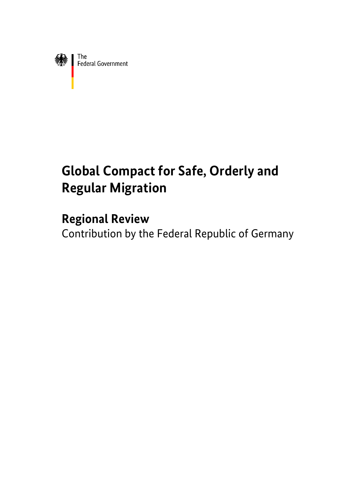

# **Global Compact for Safe, Orderly and Regular Migration**

# **Regional Review**

Contribution by the Federal Republic of Germany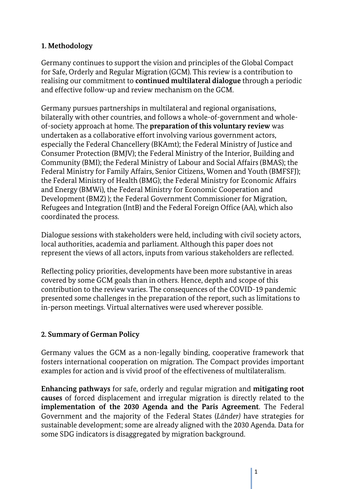# **1. Methodology**

Germany continues to support the vision and principles of the Global Compact for Safe, Orderly and Regular Migration (GCM). This review is a contribution to realising our commitment to **continued multilateral dialogue** through a periodic and effective follow-up and review mechanism on the GCM.

Germany pursues partnerships in multilateral and regional organisations, bilaterally with other countries, and follows a whole-of-government and wholeof-society approach at home. The **preparation of this voluntary review** was undertaken as a collaborative effort involving various government actors, especially the Federal Chancellery (BKAmt); the Federal Ministry of Justice and Consumer Protection (BMJV); the Federal Ministry of the Interior, Building and Community (BMI); the Federal Ministry of Labour and Social Affairs (BMAS); the Federal Ministry for Family Affairs, Senior Citizens, Women and Youth (BMFSFJ); the Federal Ministry of Health (BMG); the Federal Ministry for Economic Affairs and Energy (BMWi), the Federal Ministry for Economic Cooperation and Development (BMZ) ); the Federal Government Commissioner for Migration, Refugees and Integration (IntB) and the Federal Foreign Office (AA), which also coordinated the process.

Dialogue sessions with stakeholders were held, including with civil society actors, local authorities, academia and parliament. Although this paper does not represent the views of all actors, inputs from various stakeholders are reflected.

Reflecting policy priorities, developments have been more substantive in areas covered by some GCM goals than in others. Hence, depth and scope of this contribution to the review varies. The consequences of the COVID-19 pandemic presented some challenges in the preparation of the report, such as limitations to in-person meetings. Virtual alternatives were used wherever possible.

# **2. Summary of German Policy**

Germany values the GCM as a non-legally binding, cooperative framework that fosters international cooperation on migration. The Compact provides important examples for action and is vivid proof of the effectiveness of multilateralism.

**Enhancing pathways** for safe, orderly and regular migration and **mitigating root causes** of forced displacement and irregular migration is directly related to the **implementation of the 2030 Agenda and the Paris Agreement**. The Federal Government and the majority of the Federal States (*Länder)* have strategies for sustainable development; some are already aligned with the 2030 Agenda. Data for some SDG indicators is disaggregated by migration background.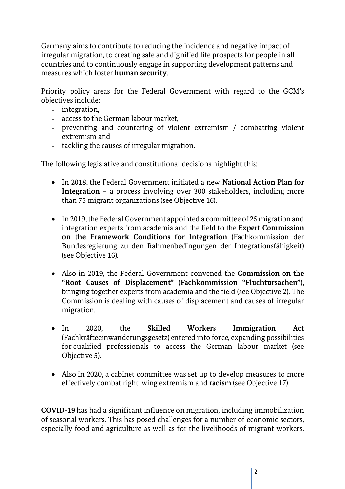Germany aims to contribute to reducing the incidence and negative impact of irregular migration, to creating safe and dignified life prospects for people in all countries and to continuously engage in supporting development patterns and measures which foster **human security**.

Priority policy areas for the Federal Government with regard to the GCM's objectives include:

- integration,
- access to the German labour market,
- preventing and countering of violent extremism / combatting violent extremism and
- tackling the causes of irregular migration.

The following legislative and constitutional decisions highlight this:

- In 2018, the Federal Government initiated a new **National Action Plan for Integration** – a process involving over 300 stakeholders, including more than 75 migrant organizations (see Objective 16).
- In 2019, the Federal Government appointed a committee of 25 migration and integration experts from academia and the field to the **Expert Commission on the Framework Conditions for Integration** (Fachkommission der Bundesregierung zu den Rahmenbedingungen der Integrationsfähigkeit) (see Objective 16).
- Also in 2019, the Federal Government convened the **Commission on the "Root Causes of Displacement" (Fachkommission "Fluchtursachen")**, bringing together experts from academia and the field (see Objective 2). The Commission is dealing with causes of displacement and causes of irregular migration.
- In 2020, the **Skilled Workers Immigration Act** (Fachkräfteeinwanderungsgesetz) entered into force, expanding possibilities for qualified professionals to access the German labour market (see Objective 5).
- Also in 2020, a cabinet committee was set up to develop measures to more effectively combat right-wing extremism and **racism** (see Objective 17).

**COVID-19** has had a significant influence on migration, including immobilization of seasonal workers. This has posed challenges for a number of economic sectors, especially food and agriculture as well as for the livelihoods of migrant workers.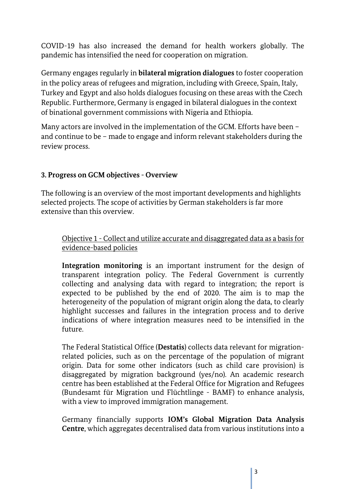COVID-19 has also increased the demand for health workers globally. The pandemic has intensified the need for cooperation on migration.

Germany engages regularly in **bilateral migration dialogues** to foster cooperation in the policy areas of refugees and migration, including with Greece, Spain, Italy, Turkey and Egypt and also holds dialogues focusing on these areas with the Czech Republic. Furthermore, Germany is engaged in bilateral dialogues in the context of binational government commissions with Nigeria and Ethiopia.

Many actors are involved in the implementation of the GCM. Efforts have been – and continue to be – made to engage and inform relevant stakeholders during the review process.

#### **3. Progress on GCM objectives - Overview**

The following is an overview of the most important developments and highlights selected projects. The scope of activities by German stakeholders is far more extensive than this overview.

#### Objective 1 - Collect and utilize accurate and disaggregated data as a basis for evidence-based policies

**Integration monitoring** is an important instrument for the design of transparent integration policy. The Federal Government is currently collecting and analysing data with regard to integration; the report is expected to be published by the end of 2020. The aim is to map the heterogeneity of the population of migrant origin along the data, to clearly highlight successes and failures in the integration process and to derive indications of where integration measures need to be intensified in the future.

The Federal Statistical Office (**Destatis**) collects data relevant for migrationrelated policies, such as on the percentage of the population of migrant origin. Data for some other indicators (such as child care provision) is disaggregated by migration background (yes/no). An academic research centre has been established at the Federal Office for Migration and Refugees (Bundesamt für Migration und Flüchtlinge - BAMF) to enhance analysis, with a view to improved immigration management.

Germany financially supports **IOM's Global Migration Data Analysis Centre**, which aggregates decentralised data from various institutions into a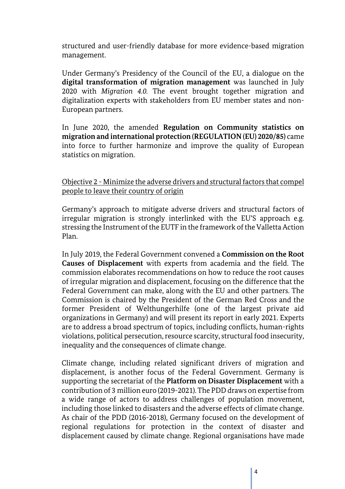structured and user-friendly database for more evidence-based migration management.

Under Germany's Presidency of the Council of the EU, a dialogue on the **digital transformation of migration management** was launched in July 2020 with *Migration 4.0.* The event brought together migration and digitalization experts with stakeholders from EU member states and non-European partners.

In June 2020, the amended **Regulation on Community statistics on migration and international protection (REGULATION (EU) 2020/85)** came into force to further harmonize and improve the quality of European statistics on migration.

Objective 2 - Minimize the adverse drivers and structural factors that compel people to leave their country of origin

Germany's approach to mitigate adverse drivers and structural factors of irregular migration is strongly interlinked with the EU'S approach e.g. stressing the Instrument of the EUTF in the framework of the Valletta Action Plan.

In July 2019, the Federal Government convened a **Commission on the Root Causes of Displacement** with experts from academia and the field. The commission elaborates recommendations on how to reduce the root causes of irregular migration and displacement, focusing on the difference that the Federal Government can make, along with the EU and other partners. The Commission is chaired by the President of the German Red Cross and the former President of Welthungerhilfe (one of the largest private aid organizations in Germany) and will present its report in early 2021. Experts are to address a broad spectrum of topics, including conflicts, human-rights violations, political persecution, resource scarcity, structural food insecurity, inequality and the consequences of climate change.

Climate change, including related significant drivers of migration and displacement, is another focus of the Federal Government. Germany is supporting the secretariat of the **Platform on Disaster Displacement** with a contribution of 3 million euro (2019-2021). The PDD draws on expertise from a wide range of actors to address challenges of population movement, including those linked to disasters and the adverse effects of climate change. As chair of the PDD (2016-2018), Germany focused on the development of regional regulations for protection in the context of disaster and displacement caused by climate change. Regional organisations have made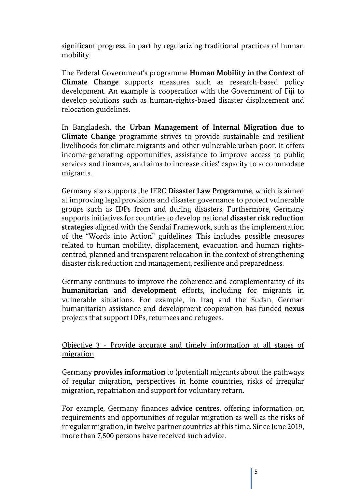significant progress, in part by regularizing traditional practices of human mobility.

The Federal Government's programme **Human Mobility in the Context of Climate Change** supports measures such as research-based policy development. An example is cooperation with the Government of Fiji to develop solutions such as human-rights-based disaster displacement and relocation guidelines.

In Bangladesh, the **Urban Management of Internal Migration due to Climate Change** programme strives to provide sustainable and resilient livelihoods for climate migrants and other vulnerable urban poor. It offers income-generating opportunities, assistance to improve access to public services and finances, and aims to increase cities' capacity to accommodate migrants.

Germany also supports the IFRC **Disaster Law Programme**, which is aimed at improving legal provisions and disaster governance to protect vulnerable groups such as IDPs from and during disasters. Furthermore, Germany supports initiatives for countries to develop national **disaster risk reduction strategies** aligned with the Sendai Framework, such as the implementation of the "Words into Action" guidelines. This includes possible measures related to human mobility, displacement, evacuation and human rightscentred, planned and transparent relocation in the context of strengthening disaster risk reduction and management, resilience and preparedness.

Germany continues to improve the coherence and complementarity of its **humanitarian and development** efforts, including for migrants in vulnerable situations. For example, in Iraq and the Sudan, German humanitarian assistance and development cooperation has funded **nexus** projects that support IDPs, returnees and refugees.

Objective 3 - Provide accurate and timely information at all stages of migration

Germany **provides information** to (potential) migrants about the pathways of regular migration, perspectives in home countries, risks of irregular migration, repatriation and support for voluntary return.

For example, Germany finances **advice centres**, offering information on requirements and opportunities of regular migration as well as the risks of irregular migration, in twelve partner countries at this time. Since June 2019, more than 7,500 persons have received such advice.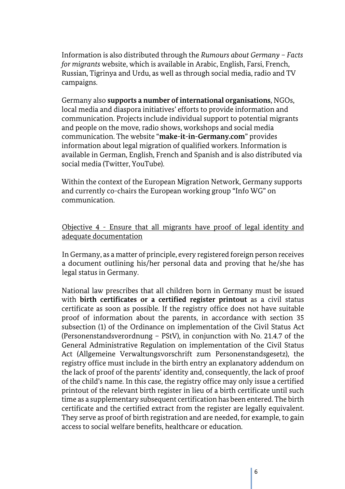Information is also distributed through the *Rumours about Germany – Facts for migrants* website, which is available in Arabic, English, Farsi, French, Russian, Tigrinya and Urdu, as well as through social media, radio and TV campaigns.

Germany also **supports a number of international organisations**, NGOs, local media and diaspora initiatives' efforts to provide information and communication. Projects include individual support to potential migrants and people on the move, radio shows, workshops and social media communication. The website "**make-it-in-Germany.com**" provides information about legal migration of qualified workers. Information is available in German, English, French and Spanish and is also distributed via social media (Twitter, YouTube).

Within the context of the European Migration Network, Germany supports and currently co-chairs the European working group "Info WG" on communication.

#### Objective 4 - Ensure that all migrants have proof of legal identity and adequate documentation

In Germany, as a matter of principle, every registered foreign person receives a document outlining his/her personal data and proving that he/she has legal status in Germany.

National law prescribes that all children born in Germany must be issued with **birth certificates or a certified register printout** as a civil status certificate as soon as possible. If the registry office does not have suitable proof of information about the parents, in accordance with section 35 subsection (1) of the Ordinance on implementation of the Civil Status Act (Personenstandsverordnung – PStV), in conjunction with No. 21.4.7 of the General Administrative Regulation on implementation of the Civil Status Act (Allgemeine Verwaltungsvorschrift zum Personenstandsgesetz), the registry office must include in the birth entry an explanatory addendum on the lack of proof of the parents' identity and, consequently, the lack of proof of the child's name. In this case, the registry office may only issue a certified printout of the relevant birth register in lieu of a birth certificate until such time as a supplementary subsequent certification has been entered. The birth certificate and the certified extract from the register are legally equivalent. They serve as proof of birth registration and are needed, for example, to gain access to social welfare benefits, healthcare or education.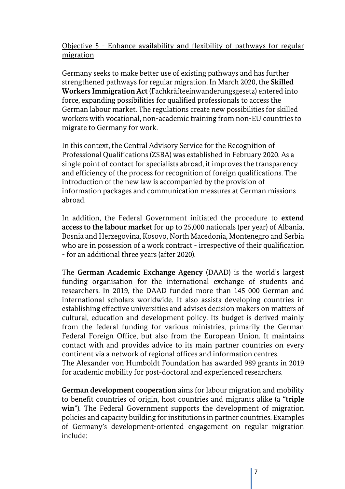Objective 5 - Enhance availability and flexibility of pathways for regular migration

Germany seeks to make better use of existing pathways and has further strengthened pathways for regular migration. In March 2020, the **Skilled Workers Immigration Act** (Fachkräfteeinwanderungsgesetz) entered into force, expanding possibilities for qualified professionals to access the German labour market. The regulations create new possibilities for skilled workers with vocational, non-academic training from non-EU countries to migrate to Germany for work.

In this context, the Central Advisory Service for the Recognition of Professional Qualifications (ZSBA) was established in February 2020. As a single point of contact for specialists abroad, it improves the transparency and efficiency of the process for recognition of foreign qualifications. The introduction of the new law is accompanied by the provision of information packages and communication measures at German missions abroad.

In addition, the Federal Government initiated the procedure to **extend access to the labour market** for up to 25,000 nationals (per year) of Albania, Bosnia and Herzegovina, Kosovo, North Macedonia, Montenegro and Serbia who are in possession of a work contract - irrespective of their qualification - for an additional three years (after 2020).

The **German Academic Exchange Agency** (DAAD) is the world's largest funding organisation for the international exchange of students and researchers. In 2019, the DAAD funded more than 145 000 German and international scholars worldwide. It also assists developing countries in establishing effective universities and advises decision makers on matters of cultural, education and development policy. Its budget is derived mainly from the federal funding for various ministries, primarily the German Federal Foreign Office, but also from the European Union. It maintains contact with and provides advice to its main partner countries on every continent via a network of regional offices and information centres.

The Alexander von Humboldt Foundation has awarded 989 grants in 2019 for academic mobility for post-doctoral and experienced researchers.

**German development cooperation** aims for labour migration and mobility to benefit countries of origin, host countries and migrants alike (a "**triple win**"). The Federal Government supports the development of migration policies and capacity building for institutions in partner countries. Examples of Germany's development-oriented engagement on regular migration include: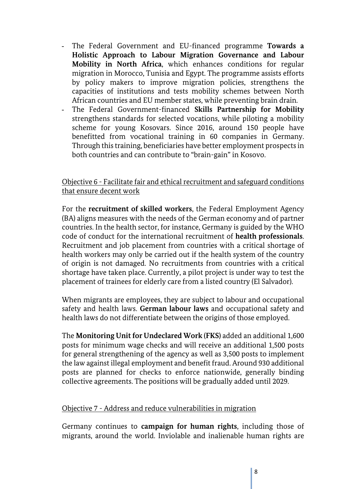- The Federal Government and EU-financed programme **Towards a Holistic Approach to Labour Migration Governance and Labour Mobility in North Africa**, which enhances conditions for regular migration in Morocco, Tunisia and Egypt. The programme assists efforts by policy makers to improve migration policies, strengthens the capacities of institutions and tests mobility schemes between North African countries and EU member states, while preventing brain drain.
- The Federal Government-financed **Skills Partnership for Mobility**  strengthens standards for selected vocations, while piloting a mobility scheme for young Kosovars. Since 2016, around 150 people have benefitted from vocational training in 60 companies in Germany. Through this training, beneficiaries have better employment prospects in both countries and can contribute to "brain-gain" in Kosovo.

Objective 6 - Facilitate fair and ethical recruitment and safeguard conditions that ensure decent work

For the **recruitment of skilled workers**, the Federal Employment Agency (BA) aligns measures with the needs of the German economy and of partner countries. In the health sector, for instance, Germany is guided by the WHO code of conduct for the international recruitment of **health professionals**. Recruitment and job placement from countries with a critical shortage of health workers may only be carried out if the health system of the country of origin is not damaged. No recruitments from countries with a critical shortage have taken place. Currently, a pilot project is under way to test the placement of trainees for elderly care from a listed country (El Salvador).

When migrants are employees, they are subject to labour and occupational safety and health laws. **German labour laws** and occupational safety and health laws do not differentiate between the origins of those employed.

The **Monitoring Unit for Undeclared Work (FKS)** added an additional 1,600 posts for minimum wage checks and will receive an additional 1,500 posts for general strengthening of the agency as well as 3,500 posts to implement the law against illegal employment and benefit fraud. Around 930 additional posts are planned for checks to enforce nationwide, generally binding collective agreements. The positions will be gradually added until 2029.

#### Objective 7 - Address and reduce vulnerabilities in migration

Germany continues to **campaign for human rights**, including those of migrants, around the world. Inviolable and inalienable human rights are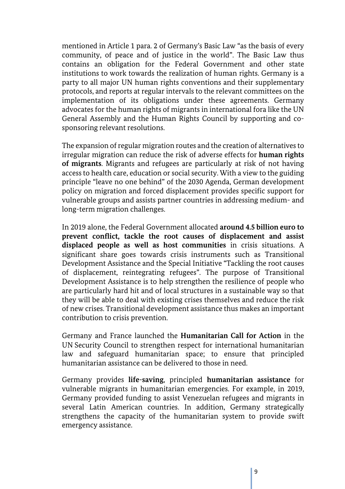mentioned in Article 1 para. 2 of Germany's Basic Law "as the basis of every community, of peace and of justice in the world". The Basic Law thus contains an obligation for the Federal Government and other state institutions to work towards the realization of human rights. Germany is a party to all major UN human rights conventions and their supplementary protocols, and reports at regular intervals to the relevant committees on the implementation of its obligations under these agreements. Germany advocates for the human rights of migrants in international fora like the UN General Assembly and the Human Rights Council by supporting and cosponsoring relevant resolutions.

The expansion of regular migration routes and the creation of alternatives to irregular migration can reduce the risk of adverse effects for **human rights of migrants**. Migrants and refugees are particularly at risk of not having access to health care, education or social security. With a view to the guiding principle "leave no one behind" of the 2030 Agenda, German development policy on migration and forced displacement provides specific support for vulnerable groups and assists partner countries in addressing medium- and long-term migration challenges.

In 2019 alone, the Federal Government allocated **around 4.5 billion euro to prevent conflict, tackle the root causes of displacement and assist displaced people as well as host communities** in crisis situations. A significant share goes towards crisis instruments such as Transitional Development Assistance and the Special Initiative "Tackling the root causes of displacement, reintegrating refugees". The purpose of Transitional Development Assistance is to help strengthen the resilience of people who are particularly hard hit and of local structures in a sustainable way so that they will be able to deal with existing crises themselves and reduce the risk of new crises. Transitional development assistance thus makes an important contribution to crisis prevention.

Germany and France launched the **Humanitarian Call for Action** in the UN Security Council to strengthen respect for international humanitarian law and safeguard humanitarian space; to ensure that principled humanitarian assistance can be delivered to those in need.

Germany provides **life-saving**, principled **humanitarian assistance** for vulnerable migrants in humanitarian emergencies. For example, in 2019, Germany provided funding to assist Venezuelan refugees and migrants in several Latin American countries. In addition, Germany strategically strengthens the capacity of the humanitarian system to provide swift emergency assistance.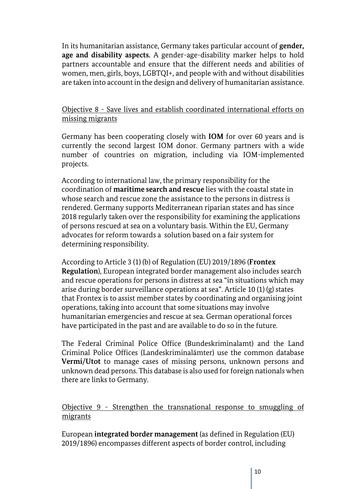In its humanitarian assistance, Germany takes particular account of **gender, age and disability aspects.** A gender-age-disability marker helps to hold partners accountable and ensure that the different needs and abilities of women, men, girls, boys, LGBTQI+, and people with and without disabilities are taken into account in the design and delivery of humanitarian assistance.

#### Objective 8 - Save lives and establish coordinated international efforts on missing migrants

Germany has been cooperating closely with **IOM** for over 60 years and is currently the second largest IOM donor. Germany partners with a wide number of countries on migration, including via IOM-implemented projects.

According to international law, the primary responsibility for the coordination of **maritime search and rescue** lies with the coastal state in whose search and rescue zone the assistance to the persons in distress is rendered. Germany supports Mediterranean riparian states and has since 2018 regularly taken over the responsibility for examining the applications of persons rescued at sea on a voluntary basis. Within the EU, Germany advocates for reform towards a solution based on a fair system for determining responsibility.

According to Article 3 (1) (b) of Regulation (EU) 2019/1896 (**Frontex Regulation**), European integrated border management also includes search and rescue operations for persons in distress at sea "in situations which may arise during border surveillance operations at sea". Article 10 (1) (g) states that Frontex is to assist member states by coordinating and organising joint operations, taking into account that some situations may involve humanitarian emergencies and rescue at sea. German operational forces have participated in the past and are available to do so in the future.

The Federal Criminal Police Office (Bundeskriminalamt) and the Land Criminal Police Offices (Landeskriminalämter) use the common database **Vermi/Utot** to manage cases of missing persons, unknown persons and unknown dead persons. This database is also used for foreign nationals when there are links to Germany.

Objective 9 - Strengthen the transnational response to smuggling of migrants

European **integrated border management** (as defined in Regulation (EU) 2019/1896) encompasses different aspects of border control, including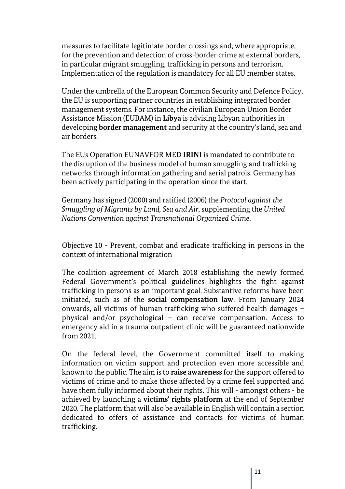measures to facilitate legitimate border crossings and, where appropriate, for the prevention and detection of cross-border crime at external borders, in particular migrant smuggling, trafficking in persons and terrorism. Implementation of the regulation is mandatory for all EU member states.

Under the umbrella of the European Common Security and Defence Policy, the EU is supporting partner countries in establishing integrated border management systems. For instance, the civilian European Union Border Assistance Mission (EUBAM) in **Libya** is advising Libyan authorities in developing **border management** and security at the country's land, sea and air borders.

The EUs Operation EUNAVFOR MED **IRINI** is mandated to contribute to the disruption of the business model of human smuggling and trafficking networks through information gathering and aerial patrols. Germany has been actively participating in the operation since the start.

Germany has signed (2000) and ratified (2006) the *Protocol against the Smuggling of Migrants by Land, Sea and Air*, supplementing the *United Nations Convention against Transnational Organized Crime*.

Objective 10 - Prevent, combat and eradicate trafficking in persons in the context of international migration

The coalition agreement of March 2018 establishing the newly formed Federal Government's political guidelines highlights the fight against trafficking in persons as an important goal. Substantive reforms have been initiated, such as of the **social compensation law**. From January 2024 onwards, all victims of human trafficking who suffered health damages – physical and/or psychological – can receive compensation. Access to emergency aid in a trauma outpatient clinic will be guaranteed nationwide from 2021.

On the federal level, the Government committed itself to making information on victim support and protection even more accessible and known to the public. The aim is to **raise awareness** for the support offered to victims of crime and to make those affected by a crime feel supported and have them fully informed about their rights. This will - amongst others - be achieved by launching a **victims' rights platform** at the end of September 2020. The platform that will also be available in English will contain a section dedicated to offers of assistance and contacts for victims of human trafficking.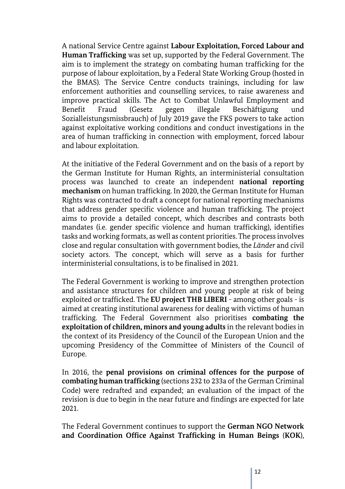A national Service Centre against **Labour Exploitation, Forced Labour and Human Trafficking** was set up, supported by the Federal Government. The aim is to implement the strategy on combating human trafficking for the purpose of labour exploitation, by a Federal State Working Group (hosted in the BMAS). The Service Centre conducts trainings, including for law enforcement authorities and counselling services, to raise awareness and improve practical skills. The Act to Combat Unlawful Employment and Benefit Fraud (Gesetz gegen illegale Beschäftigung und Sozialleistungsmissbrauch) of July 2019 gave the FKS powers to take action against exploitative working conditions and conduct investigations in the area of human trafficking in connection with employment, forced labour and labour exploitation.

At the initiative of the Federal Government and on the basis of a report by the German Institute for Human Rights, an interministerial consultation process was launched to create an independent **national reporting mechanism** on human trafficking. In 2020, the German Institute for Human Rights was contracted to draft a concept for national reporting mechanisms that address gender specific violence and human trafficking. The project aims to provide a detailed concept, which describes and contrasts both mandates (i.e. gender specific violence and human trafficking), identifies tasks and working formats, as well as content priorities. The process involves close and regular consultation with government bodies, the *Länder* and civil society actors. The concept, which will serve as a basis for further interministerial consultations, is to be finalised in 2021.

The Federal Government is working to improve and strengthen protection and assistance structures for children and young people at risk of being exploited or trafficked. The **EU project THB LIBERI** - among other goals - is aimed at creating institutional awareness for dealing with victims of human trafficking. The Federal Government also prioritises **combating the exploitation of children, minors and young adults** in the relevant bodies in the context of its Presidency of the Council of the European Union and the upcoming Presidency of the Committee of Ministers of the Council of Europe.

In 2016, the **penal provisions on criminal offences for the purpose of combating human trafficking** (sections 232 to 233a of the German Criminal Code) were redrafted and expanded; an evaluation of the impact of the revision is due to begin in the near future and findings are expected for late 2021.

The Federal Government continues to support the **German NGO Network and Coordination Office Against Trafficking in Human Beings** (**KOK**),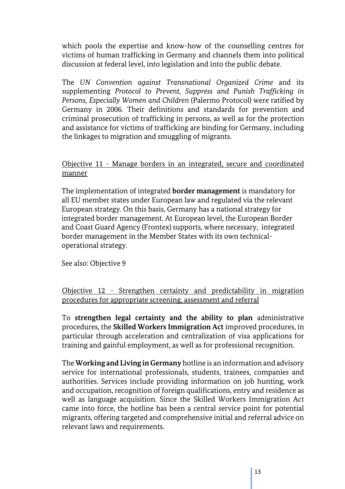which pools the expertise and know-how of the counselling centres for victims of human trafficking in Germany and channels them into political discussion at federal level, into legislation and into the public debate.

The *UN Convention against Transnational Organized Crime* and its supplementing *Protocol to Prevent, Suppress and Punish Trafficking in Persons, Especially Women and Children* (Palermo Protocol) were ratified by Germany in 2006. Their definitions and standards for prevention and criminal prosecution of trafficking in persons, as well as for the protection and assistance for victims of trafficking are binding for Germany, including the linkages to migration and smuggling of migrants.

Objective 11 - Manage borders in an integrated, secure and coordinated manner

The implementation of integrated **border management** is mandatory for all EU member states under European law and regulated via the relevant European strategy. On this basis, Germany has a national strategy for integrated border management. At European level, the European Border and Coast Guard Agency (Frontex) supports, where necessary, integrated border management in the Member States with its own technicaloperational strategy.

See also: Objective 9

Objective 12 - Strengthen certainty and predictability in migration procedures for appropriate screening, assessment and referral

To **strengthen legal certainty and the ability to plan** administrative procedures, the **Skilled Workers Immigration Act** improved procedures, in particular through acceleration and centralization of visa applications for training and gainful employment, as well as for professional recognition.

The **Working and Living in Germany** hotline is an information and advisory service for international professionals, students, trainees, companies and authorities. Services include providing information on job hunting, work and occupation, recognition of foreign qualifications, entry and residence as well as language acquisition. Since the Skilled Workers Immigration Act came into force, the hotline has been a central service point for potential migrants, offering targeted and comprehensive initial and referral advice on relevant laws and requirements.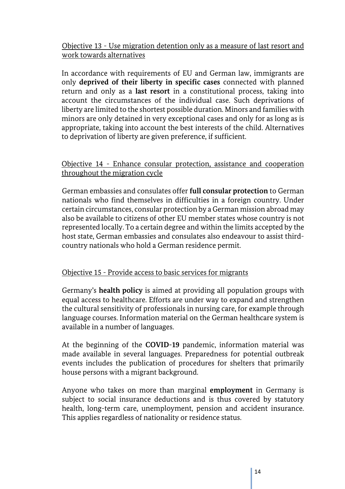Objective 13 - Use migration detention only as a measure of last resort and work towards alternatives

In accordance with requirements of EU and German law, immigrants are only **deprived of their liberty in specific cases** connected with planned return and only as a **last resort** in a constitutional process, taking into account the circumstances of the individual case. Such deprivations of liberty are limited to the shortest possible duration. Minors and families with minors are only detained in very exceptional cases and only for as long as is appropriate, taking into account the best interests of the child. Alternatives to deprivation of liberty are given preference, if sufficient.

Objective 14 - Enhance consular protection, assistance and cooperation throughout the migration cycle

German embassies and consulates offer **full consular protection** to German nationals who find themselves in difficulties in a foreign country. Under certain circumstances, consular protection by a German mission abroad may also be available to citizens of other EU member states whose country is not represented locally. To a certain degree and within the limits accepted by the host state, German embassies and consulates also endeavour to assist thirdcountry nationals who hold a German residence permit.

#### Objective 15 - Provide access to basic services for migrants

Germany's **health policy** is aimed at providing all population groups with equal access to healthcare. Efforts are under way to expand and strengthen the cultural sensitivity of professionals in nursing care, for example through language courses. Information material on the German healthcare system is available in a number of languages.

At the beginning of the **COVID-19** pandemic, information material was made available in several languages. Preparedness for potential outbreak events includes the publication of procedures for shelters that primarily house persons with a migrant background.

Anyone who takes on more than marginal **employment** in Germany is subject to social insurance deductions and is thus covered by statutory health, long-term care, unemployment, pension and accident insurance. This applies regardless of nationality or residence status.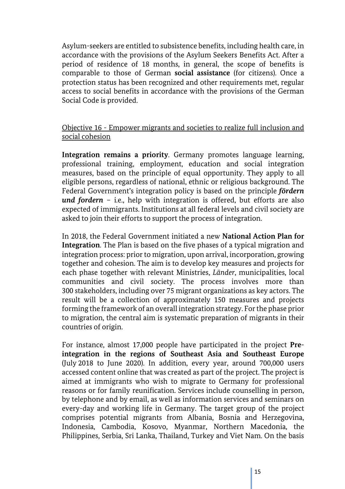Asylum-seekers are entitled to subsistence benefits, including health care, in accordance with the provisions of the Asylum Seekers Benefits Act. After a period of residence of 18 months, in general, the scope of benefits is comparable to those of German **social assistance** (for citizens). Once a protection status has been recognized and other requirements met, regular access to social benefits in accordance with the provisions of the German Social Code is provided.

#### Objective 16 - Empower migrants and societies to realize full inclusion and social cohesion

**Integration remains a priority**. Germany promotes language learning, professional training, employment, education and social integration measures, based on the principle of equal opportunity. They apply to all eligible persons, regardless of national, ethnic or religious background. The Federal Government's integration policy is based on the principle *fördern und fordern* – i.e., help with integration is offered, but efforts are also expected of immigrants. Institutions at all federal levels and civil society are asked to join their efforts to support the process of integration.

In 2018, the Federal Government initiated a new **National Action Plan for Integration**. The Plan is based on the five phases of a typical migration and integration process: prior to migration, upon arrival, incorporation, growing together and cohesion. The aim is to develop key measures and projects for each phase together with relevant Ministries, *Länder*, municipalities, local communities and civil society. The process involves more than 300 stakeholders, including over 75 migrant organizations as key actors. The result will be a collection of approximately 150 measures and projects forming the framework of an overall integration strategy. For the phase prior to migration, the central aim is systematic preparation of migrants in their countries of origin.

For instance, almost 17,000 people have participated in the project **Preintegration in the regions of Southeast Asia and Southeast Europe**  (July 2018 to June 2020). In addition, every year, around 700,000 users accessed content online that was created as part of the project. The project is aimed at immigrants who wish to migrate to Germany for professional reasons or for family reunification. Services include counselling in person, by telephone and by email, as well as information services and seminars on every-day and working life in Germany. The target group of the project comprises potential migrants from Albania, Bosnia and Herzegovina, Indonesia, Cambodia, Kosovo, Myanmar, Northern Macedonia, the Philippines, Serbia, Sri Lanka, Thailand, Turkey and Viet Nam. On the basis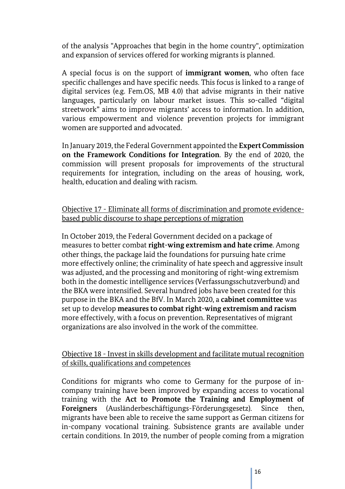of the analysis "Approaches that begin in the home country", optimization and expansion of services offered for working migrants is planned.

A special focus is on the support of **immigrant women**, who often face specific challenges and have specific needs. This focus is linked to a range of digital services (e.g. Fem.OS, MB 4.0) that advise migrants in their native languages, particularly on labour market issues. This so-called "digital streetwork" aims to improve migrants' access to information. In addition, various empowerment and violence prevention projects for immigrant women are supported and advocated.

In January 2019, the Federal Government appointed the **Expert Commission on the Framework Conditions for Integration**. By the end of 2020, the commission will present proposals for improvements of the structural requirements for integration, including on the areas of housing, work, health, education and dealing with racism.

#### Objective 17 - Eliminate all forms of discrimination and promote evidencebased public discourse to shape perceptions of migration

In October 2019, the Federal Government decided on a package of measures to better combat **right-wing extremism and hate crime**. Among other things, the package laid the foundations for pursuing hate crime more effectively online; the criminality of hate speech and aggressive insult was adjusted, and the processing and monitoring of right-wing extremism both in the domestic intelligence services (Verfassungsschutzverbund) and the BKA were intensified. Several hundred jobs have been created for this purpose in the BKA and the BfV. In March 2020, a **cabinet committee** was set up to develop **measures to combat right-wing extremism and racism** more effectively, with a focus on prevention. Representatives of migrant organizations are also involved in the work of the committee.

#### Objective 18 - Invest in skills development and facilitate mutual recognition of skills, qualifications and competences

Conditions for migrants who come to Germany for the purpose of incompany training have been improved by expanding access to vocational training with the **Act to Promote the Training and Employment of Foreigners** (Ausländerbeschäftigungs-Förderungsgesetz). Since then, migrants have been able to receive the same support as German citizens for in-company vocational training. Subsistence grants are available under certain conditions. In 2019, the number of people coming from a migration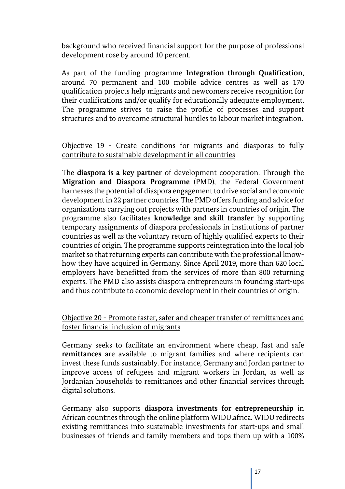background who received financial support for the purpose of professional development rose by around 10 percent.

As part of the funding programme **Integration through Qualification**, around 70 permanent and 100 mobile advice centres as well as 170 qualification projects help migrants and newcomers receive recognition for their qualifications and/or qualify for educationally adequate employment. The programme strives to raise the profile of processes and support structures and to overcome structural hurdles to labour market integration.

#### Objective 19 - Create conditions for migrants and diasporas to fully contribute to sustainable development in all countries

The **diaspora is a key partner** of development cooperation. Through the **Migration and Diaspora Programme** (PMD), the Federal Government harnesses the potential of diaspora engagement to drive social and economic development in 22 partner countries. The PMD offers funding and advice for organizations carrying out projects with partners in countries of origin. The programme also facilitates **knowledge and skill transfer** by supporting temporary assignments of diaspora professionals in institutions of partner countries as well as the voluntary return of highly qualified experts to their countries of origin. The programme supports reintegration into the local job market so that returning experts can contribute with the professional knowhow they have acquired in Germany. Since April 2019, more than 620 local employers have benefitted from the services of more than 800 returning experts. The PMD also assists diaspora entrepreneurs in founding start-ups and thus contribute to economic development in their countries of origin.

#### Objective 20 - Promote faster, safer and cheaper transfer of remittances and foster financial inclusion of migrants

Germany seeks to facilitate an environment where cheap, fast and safe **remittances** are available to migrant families and where recipients can invest these funds sustainably. For instance, Germany and Jordan partner to improve access of refugees and migrant workers in Jordan, as well as Jordanian households to remittances and other financial services through digital solutions.

Germany also supports **diaspora investments for entrepreneurship** in African countries through the online platform WIDU.africa. WIDU redirects existing remittances into sustainable investments for start-ups and small businesses of friends and family members and tops them up with a 100%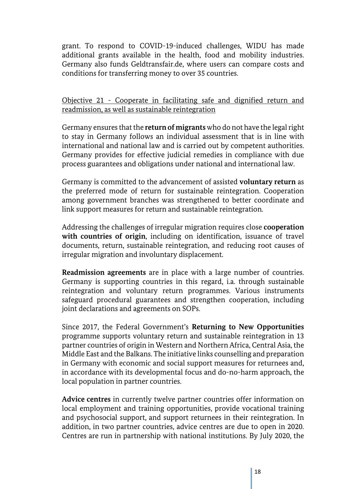grant. To respond to COVID-19-induced challenges, WIDU has made additional grants available in the health, food and mobility industries. Germany also funds Geldtransfair.de, where users can compare costs and conditions for transferring money to over 35 countries.

Objective 21 - Cooperate in facilitating safe and dignified return and readmission, as well as sustainable reintegration

Germany ensures that the **return of migrants** who do not have the legal right to stay in Germany follows an individual assessment that is in line with international and national law and is carried out by competent authorities. Germany provides for effective judicial remedies in compliance with due process guarantees and obligations under national and international law.

Germany is committed to the advancement of assisted **voluntary return** as the preferred mode of return for sustainable reintegration. Cooperation among government branches was strengthened to better coordinate and link support measures for return and sustainable reintegration.

Addressing the challenges of irregular migration requires close **cooperation with countries of origin**, including on identification, issuance of travel documents, return, sustainable reintegration, and reducing root causes of irregular migration and involuntary displacement.

**Readmission agreements** are in place with a large number of countries. Germany is supporting countries in this regard, i.a. through sustainable reintegration and voluntary return programmes. Various instruments safeguard procedural guarantees and strengthen cooperation, including joint declarations and agreements on SOPs.

Since 2017, the Federal Government's **Returning to New Opportunities** programme supports voluntary return and sustainable reintegration in 13 partner countries of origin in Western and Northern Africa, Central Asia, the Middle East and the Balkans. The initiative links counselling and preparation in Germany with economic and social support measures for returnees and, in accordance with its developmental focus and do-no-harm approach, the local population in partner countries.

**Advice centres** in currently twelve partner countries offer information on local employment and training opportunities, provide vocational training and psychosocial support, and support returnees in their reintegration. In addition, in two partner countries, advice centres are due to open in 2020. Centres are run in partnership with national institutions. By July 2020, the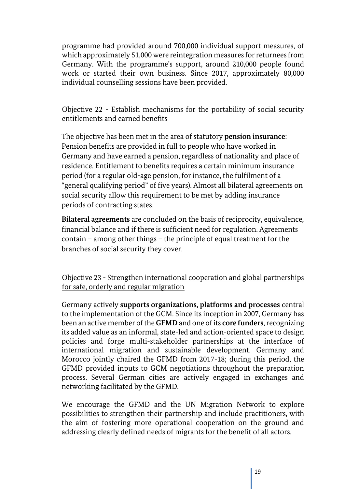programme had provided around 700,000 individual support measures, of which approximately 51,000 were reintegration measures for returnees from Germany. With the programme's support, around 210,000 people found work or started their own business. Since 2017, approximately 80,000 individual counselling sessions have been provided.

#### Objective 22 - Establish mechanisms for the portability of social security entitlements and earned benefits

The objective has been met in the area of statutory **pension insurance**: Pension benefits are provided in full to people who have worked in Germany and have earned a pension, regardless of nationality and place of residence. Entitlement to benefits requires a certain minimum insurance period (for a regular old-age pension, for instance, the fulfilment of a "general qualifying period" of five years). Almost all bilateral agreements on social security allow this requirement to be met by adding insurance periods of contracting states.

**Bilateral agreements** are concluded on the basis of reciprocity, equivalence, financial balance and if there is sufficient need for regulation. Agreements contain – among other things – the principle of equal treatment for the branches of social security they cover.

Objective 23 - Strengthen international cooperation and global partnerships for safe, orderly and regular migration

Germany actively **supports organizations, platforms and processes** central to the implementation of the GCM. Since its inception in 2007, Germany has been an active member of the **GFMD** and one of its **core funders**, recognizing its added value as an informal, state-led and action-oriented space to design policies and forge multi-stakeholder partnerships at the interface of international migration and sustainable development. Germany and Morocco jointly chaired the GFMD from 2017-18; during this period, the GFMD provided inputs to GCM negotiations throughout the preparation process. Several German cities are actively engaged in exchanges and networking facilitated by the GFMD.

We encourage the GFMD and the UN Migration Network to explore possibilities to strengthen their partnership and include practitioners, with the aim of fostering more operational cooperation on the ground and addressing clearly defined needs of migrants for the benefit of all actors.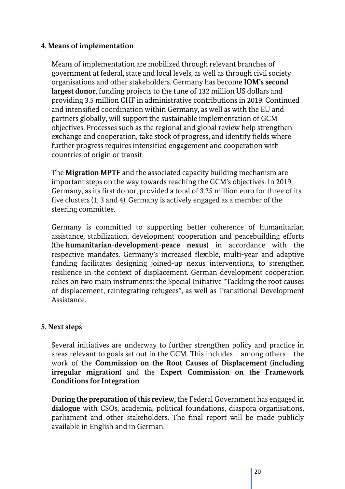#### **4. Means of implementation**

Means of implementation are mobilized through relevant branches of government at federal, state and local levels, as well as through civil society organisations and other stakeholders. Germany has become **IOM's second largest donor**, funding projects to the tune of 132 million US dollars and providing 3.5 million CHF in administrative contributions in 2019. Continued and intensified coordination within Germany, as well as with the EU and partners globally, will support the sustainable implementation of GCM objectives. Processes such as the regional and global review help strengthen exchange and cooperation, take stock of progress, and identify fields where further progress requires intensified engagement and cooperation with countries of origin or transit.

The **Migration MPTF** and the associated capacity building mechanism are important steps on the way towards reaching the GCM's objectives. In 2019, Germany, as its first donor, provided a total of 3.25 million euro for three of its five clusters (1, 3 and 4). Germany is actively engaged as a member of the steering committee.

Germany is committed to supporting better coherence of humanitarian assistance, stabilization, development cooperation and peacebuilding efforts (the **humanitarian-development-peace nexus**) in accordance with the respective mandates. Germany's increased flexible, multi-year and adaptive funding facilitates designing joined-up nexus interventions, to strengthen resilience in the context of displacement. German development cooperation relies on two main instruments: the Special Initiative "Tackling the root causes of displacement, reintegrating refugees", as well as Transitional Development Assistance.

#### **5. Next steps**

Several initiatives are underway to further strengthen policy and practice in areas relevant to goals set out in the GCM. This includes – among others – the work of the **Commission on the Root Causes of Displacement (including irregular migration)** and the **Expert Commission on the Framework Conditions for Integration**.

**During the preparation of this review,** the Federal Government has engaged in **dialogue** with CSOs, academia, political foundations, diaspora organisations, parliament and other stakeholders. The final report will be made publicly available in English and in German.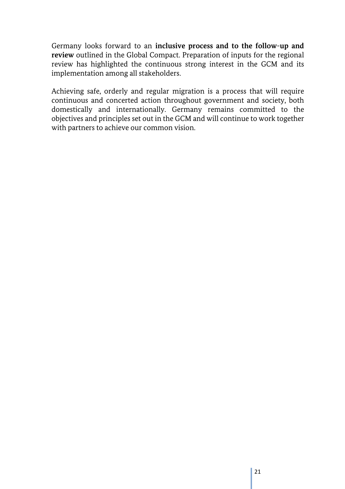Germany looks forward to an **inclusive process and to the follow-up and review** outlined in the Global Compact. Preparation of inputs for the regional review has highlighted the continuous strong interest in the GCM and its implementation among all stakeholders.

Achieving safe, orderly and regular migration is a process that will require continuous and concerted action throughout government and society, both domestically and internationally. Germany remains committed to the objectives and principles set out in the GCM and will continue to work together with partners to achieve our common vision.